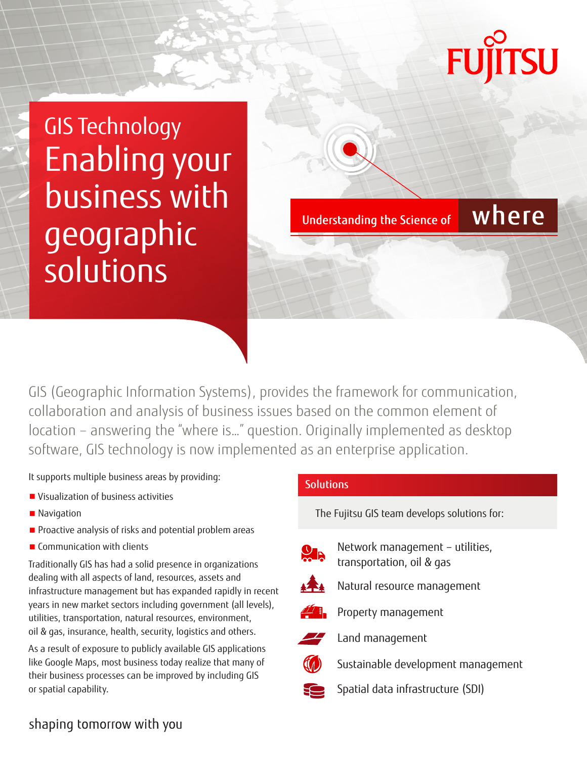# **TSU**

where

GIS Technology Enabling your business with geographic solutions

**Understanding the Science of** 

GIS (Geographic Information Systems), provides the framework for communication, collaboration and analysis of business issues based on the common element of location – answering the "where is…" question. Originally implemented as desktop software, GIS technology is now implemented as an enterprise application.

It supports multiple business areas by providing:

- Visualization of business activities
- Navigation
- Proactive analysis of risks and potential problem areas
- Communication with clients

Traditionally GIS has had a solid presence in organizations dealing with all aspects of land, resources, assets and infrastructure management but has expanded rapidly in recent years in new market sectors including government (all levels), utilities, transportation, natural resources, environment, oil & gas, insurance, health, security, logistics and others.

As a result of exposure to publicly available GIS applications like Google Maps, most business today realize that many of their business processes can be improved by including GIS or spatial capability.

## **Solutions**

The Fujitsu GIS team develops solutions for:



Network management – utilities, transportation, oil & gas



Natural resource management



Property management



Land management

Sustainable development management



Spatial data infrastructure (SDI)

# shaping tomorrow with you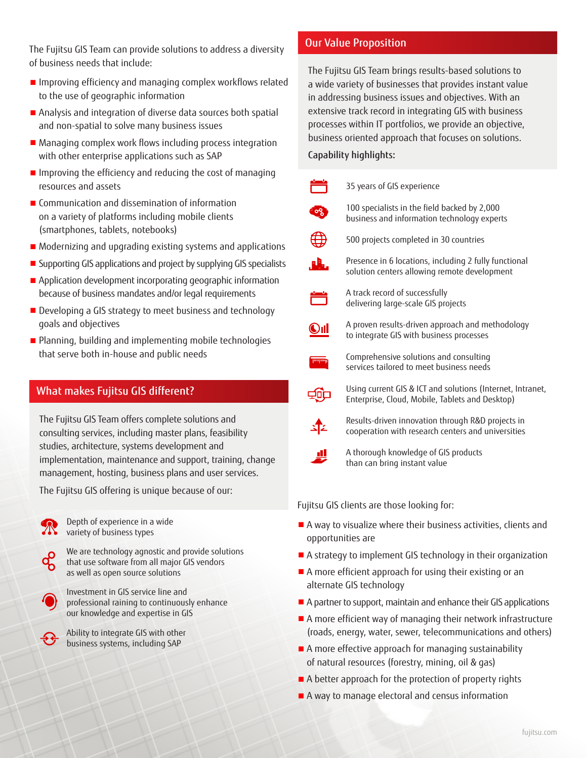The Fujitsu GIS Team can provide solutions to address a diversity of business needs that include:

- Improving efficiency and managing complex workflows related to the use of geographic information
- Analysis and integration of diverse data sources both spatial and non-spatial to solve many business issues
- Managing complex work flows including process integration with other enterprise applications such as SAP
- Improving the efficiency and reducing the cost of managing resources and assets
- Communication and dissemination of information on a variety of platforms including mobile clients (smartphones, tablets, notebooks)
- Modernizing and upgrading existing systems and applications
- Supporting GIS applications and project by supplying GIS specialists
- Application development incorporating geographic information because of business mandates and/or legal requirements
- Developing a GIS strategy to meet business and technology goals and objectives
- Planning, building and implementing mobile technologies that serve both in-house and public needs

### What makes Fujitsu GIS different?

The Fujitsu GIS Team offers complete solutions and consulting services, including master plans, feasibility studies, architecture, systems development and implementation, maintenance and support, training, change management, hosting, business plans and user services.

The Fujitsu GIS offering is unique because of our:

Depth of experience in a wide variety of business types





Investment in GIS service line and professional raining to continuously enhance our knowledge and expertise in GIS

Ability to integrate GIS with other business systems, including SAP

### Our Value Proposition

The Fujitsu GIS Team brings results-based solutions to a wide variety of businesses that provides instant value in addressing business issues and objectives. With an extensive track record in integrating GIS with business processes within IT portfolios, we provide an objective, business oriented approach that focuses on solutions.

#### Capability highlights:

|   | 35 years of GIS experience                                                                                    |
|---|---------------------------------------------------------------------------------------------------------------|
|   | 100 specialists in the field backed by 2,000<br>business and information technology experts                   |
|   | 500 projects completed in 30 countries                                                                        |
| 鳰 | Presence in 6 locations, including 2 fully functional<br>solution centers allowing remote development         |
|   | A track record of successfully<br>delivering large-scale GIS projects                                         |
|   | A proven results-driven approach and methodology<br>to integrate GIS with business processes                  |
|   | Comprehensive solutions and consulting<br>services tailored to meet business needs                            |
|   | Using current GIS & ICT and solutions (Internet, Intranet,<br>Enterprise, Cloud, Mobile, Tablets and Desktop) |
|   | Results-driven innovation through R&D projects in<br>cooperation with research centers and universities       |
|   | A thorough knowledge of GIS products<br>than can bring instant value                                          |
|   |                                                                                                               |

Fujitsu GIS clients are those looking for:

- A way to visualize where their business activities, clients and opportunities are
- A strategy to implement GIS technology in their organization
- A more efficient approach for using their existing or an alternate GIS technology
- A partner to support, maintain and enhance their GIS applications
- A more efficient way of managing their network infrastructure (roads, energy, water, sewer, telecommunications and others)
- A more effective approach for managing sustainability of natural resources (forestry, mining, oil & gas)
- A better approach for the protection of property rights
- A way to manage electoral and census information